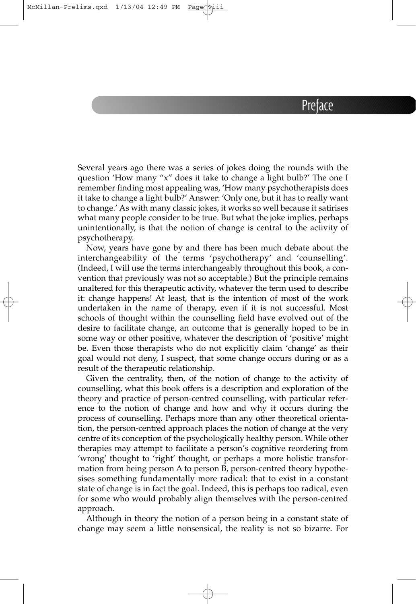## Preface

Several years ago there was a series of jokes doing the rounds with the question 'How many "x" does it take to change a light bulb?' The one I remember finding most appealing was, 'How many psychotherapists does it take to change a light bulb?' Answer: 'Only one, but it has to really want to change.' As with many classic jokes, it works so well because it satirises what many people consider to be true. But what the joke implies, perhaps unintentionally, is that the notion of change is central to the activity of psychotherapy.

Now, years have gone by and there has been much debate about the interchangeability of the terms 'psychotherapy' and 'counselling'. (Indeed, I will use the terms interchangeably throughout this book, a convention that previously was not so acceptable.) But the principle remains unaltered for this therapeutic activity, whatever the term used to describe it: change happens! At least, that is the intention of most of the work undertaken in the name of therapy, even if it is not successful. Most schools of thought within the counselling field have evolved out of the desire to facilitate change, an outcome that is generally hoped to be in some way or other positive, whatever the description of 'positive' might be. Even those therapists who do not explicitly claim 'change' as their goal would not deny, I suspect, that some change occurs during or as a result of the therapeutic relationship.

Given the centrality, then, of the notion of change to the activity of counselling, what this book offers is a description and exploration of the theory and practice of person-centred counselling, with particular reference to the notion of change and how and why it occurs during the process of counselling. Perhaps more than any other theoretical orientation, the person-centred approach places the notion of change at the very centre of its conception of the psychologically healthy person. While other therapies may attempt to facilitate a person's cognitive reordering from 'wrong' thought to 'right' thought, or perhaps a more holistic transformation from being person A to person B, person-centred theory hypothesises something fundamentally more radical: that to exist in a constant state of change is in fact the goal. Indeed, this is perhaps too radical, even for some who would probably align themselves with the person-centred approach.

Although in theory the notion of a person being in a constant state of change may seem a little nonsensical, the reality is not so bizarre. For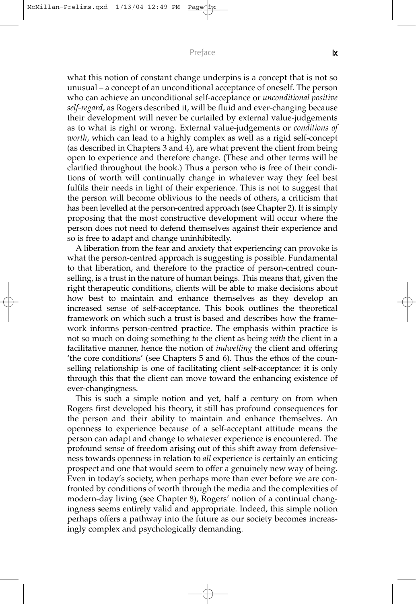## Preface **ix**

what this notion of constant change underpins is a concept that is not so unusual – a concept of an unconditional acceptance of oneself. The person who can achieve an unconditional self-acceptance or *unconditional positive self-regard*, as Rogers described it, will be fluid and ever-changing because their development will never be curtailed by external value-judgements as to what is right or wrong. External value-judgements or *conditions of worth*, which can lead to a highly complex as well as a rigid self-concept (as described in Chapters 3 and 4), are what prevent the client from being open to experience and therefore change. (These and other terms will be clarified throughout the book.) Thus a person who is free of their conditions of worth will continually change in whatever way they feel best fulfils their needs in light of their experience. This is not to suggest that the person will become oblivious to the needs of others, a criticism that has been levelled at the person-centred approach (see Chapter 2). It is simply proposing that the most constructive development will occur where the person does not need to defend themselves against their experience and so is free to adapt and change uninhibitedly.

A liberation from the fear and anxiety that experiencing can provoke is what the person-centred approach is suggesting is possible. Fundamental to that liberation, and therefore to the practice of person-centred counselling, is a trust in the nature of human beings. This means that, given the right therapeutic conditions, clients will be able to make decisions about how best to maintain and enhance themselves as they develop an increased sense of self-acceptance. This book outlines the theoretical framework on which such a trust is based and describes how the framework informs person-centred practice. The emphasis within practice is not so much on doing something *to* the client as being *with* the client in a facilitative manner, hence the notion of *indwelling* the client and offering 'the core conditions' (see Chapters 5 and 6). Thus the ethos of the counselling relationship is one of facilitating client self-acceptance: it is only through this that the client can move toward the enhancing existence of ever-changingness.

This is such a simple notion and yet, half a century on from when Rogers first developed his theory, it still has profound consequences for the person and their ability to maintain and enhance themselves. An openness to experience because of a self-acceptant attitude means the person can adapt and change to whatever experience is encountered. The profound sense of freedom arising out of this shift away from defensiveness towards openness in relation to *all* experience is certainly an enticing prospect and one that would seem to offer a genuinely new way of being. Even in today's society, when perhaps more than ever before we are confronted by conditions of worth through the media and the complexities of modern-day living (see Chapter 8), Rogers' notion of a continual changingness seems entirely valid and appropriate. Indeed, this simple notion perhaps offers a pathway into the future as our society becomes increasingly complex and psychologically demanding.